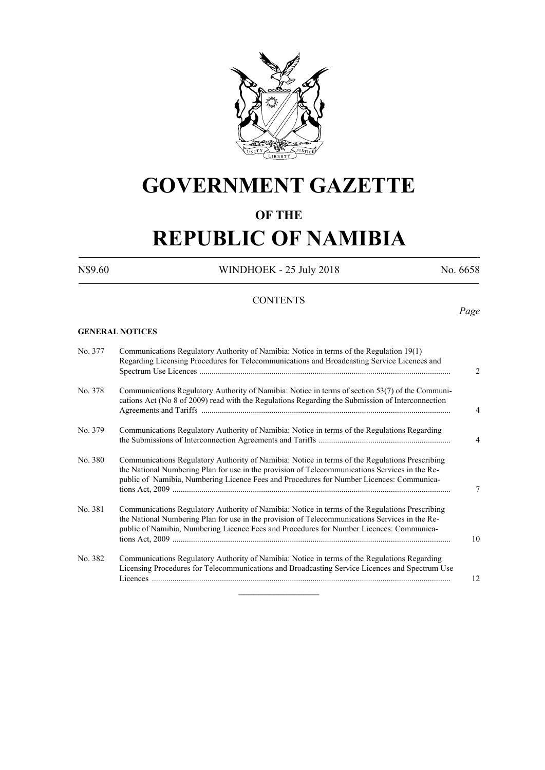

# **GOVERNMENT GAZETTE**

## **OF THE**

# **REPUBLIC OF NAMIBIA**

N\$9.60 WINDHOEK - 25 July 2018 No. 6658

*Page*

### **CONTENTS**

### **GENERAL NOTICES**

| No. 377 | Communications Regulatory Authority of Namibia: Notice in terms of the Regulation 19(1)<br>Regarding Licensing Procedures for Telecommunications and Broadcasting Service Licences and                                                                                                       |
|---------|----------------------------------------------------------------------------------------------------------------------------------------------------------------------------------------------------------------------------------------------------------------------------------------------|
| No. 378 | Communications Regulatory Authority of Namibia: Notice in terms of section 53(7) of the Communi-<br>cations Act (No 8 of 2009) read with the Regulations Regarding the Submission of Interconnection                                                                                         |
| No. 379 | Communications Regulatory Authority of Namibia: Notice in terms of the Regulations Regarding                                                                                                                                                                                                 |
| No. 380 | Communications Regulatory Authority of Namibia: Notice in terms of the Regulations Prescribing<br>the National Numbering Plan for use in the provision of Telecommunications Services in the Re-<br>public of Namibia, Numbering Licence Fees and Procedures for Number Licences: Communica- |
| No. 381 | Communications Regulatory Authority of Namibia: Notice in terms of the Regulations Prescribing<br>the National Numbering Plan for use in the provision of Telecommunications Services in the Re-<br>public of Namibia, Numbering Licence Fees and Procedures for Number Licences: Communica- |
| No. 382 | Communications Regulatory Authority of Namibia: Notice in terms of the Regulations Regarding<br>Licensing Procedures for Telecommunications and Broadcasting Service Licences and Spectrum Use                                                                                               |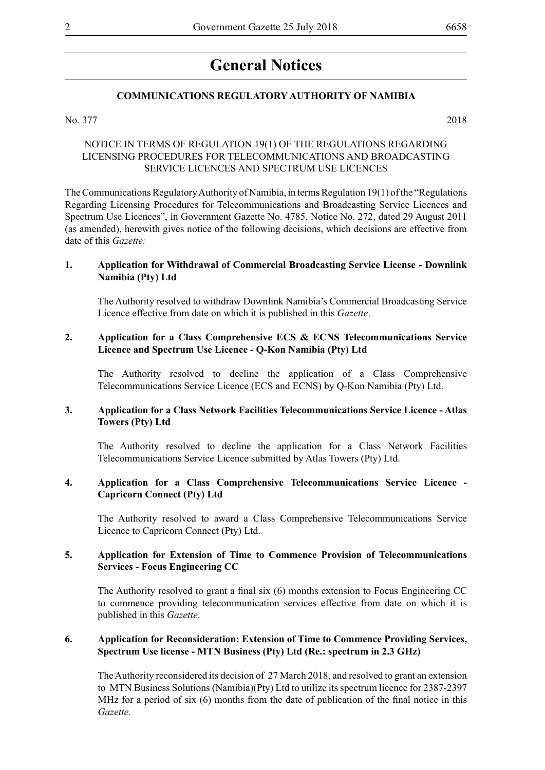## **General Notices**

#### **COMMUNICATIONS REGULATORY AUTHORITY OF NAMIBIA**

#### No. 377 2018

### NOTICE IN TERMS OF REGULATION 19(1) OF THE REGULATIONS REGARDING LICENSING PROCEDURES FOR TELECOMMUNICATIONS AND BROADCASTING SERVICE LICENCES AND SPECTRUM USE LICENCES

The Communications Regulatory Authority of Namibia, in terms Regulation 19(1) of the "Regulations Regarding Licensing Procedures for Telecommunications and Broadcasting Service Licences and Spectrum Use Licences", in Government Gazette No. 4785, Notice No. 272, dated 29 August 2011 (as amended), herewith gives notice of the following decisions, which decisions are effective from date of this *Gazette:*

#### **1. Application for Withdrawal of Commercial Broadcasting Service License - Downlink Namibia (Pty) Ltd**

The Authority resolved to withdraw Downlink Namibia's Commercial Broadcasting Service Licence effective from date on which it is published in this *Gazette*.

#### **2. Application for a Class Comprehensive ECS & ECNS Telecommunications Service Licence and Spectrum Use Licence - Q-Kon Namibia (Pty) Ltd**

The Authority resolved to decline the application of a Class Comprehensive Telecommunications Service Licence (ECS and ECNS) by Q-Kon Namibia (Pty) Ltd.

#### **3. Application for a Class Network Facilities Telecommunications Service Licence - Atlas Towers (Pty) Ltd**

The Authority resolved to decline the application for a Class Network Facilities Telecommunications Service Licence submitted by Atlas Towers (Pty) Ltd.

#### **4. Application for a Class Comprehensive Telecommunications Service Licence - Capricorn Connect (Pty) Ltd**

The Authority resolved to award a Class Comprehensive Telecommunications Service Licence to Capricorn Connect (Pty) Ltd.

#### **5. Application for Extension of Time to Commence Provision of Telecommunications Services - Focus Engineering CC**

The Authority resolved to grant a final six (6) months extension to Focus Engineering CC to commence providing telecommunication services effective from date on which it is published in this *Gazette*.

#### **6. Application for Reconsideration: Extension of Time to Commence Providing Services, Spectrum Use license - MTN Business (Pty) Ltd (Re.: spectrum in 2.3 GHz)**

The Authority reconsidered its decision of 27 March 2018, and resolved to grant an extension to MTN Business Solutions (Namibia)(Pty) Ltd to utilize its spectrum licence for 2387-2397 MHz for a period of six (6) months from the date of publication of the final notice in this *Gazette.*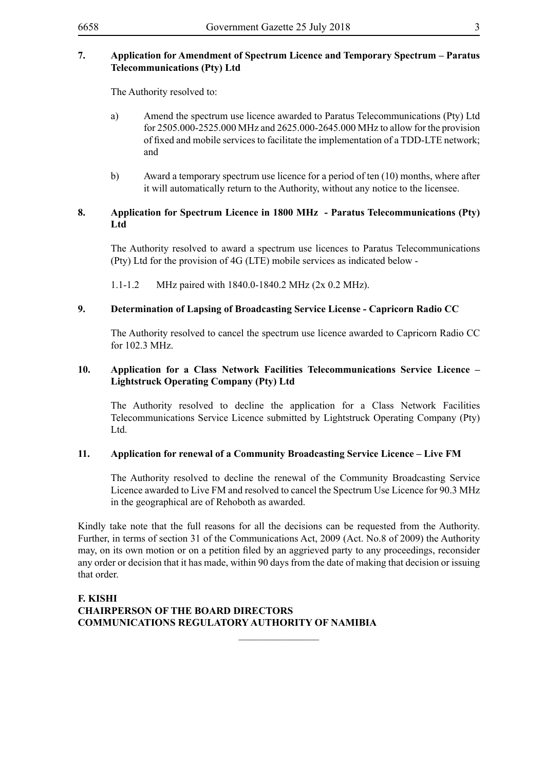#### **7. Application for Amendment of Spectrum Licence and Temporary Spectrum – Paratus Telecommunications (Pty) Ltd**

The Authority resolved to:

- a) Amend the spectrum use licence awarded to Paratus Telecommunications (Pty) Ltd for 2505.000-2525.000 MHz and 2625.000-2645.000 MHz to allow for the provision of fixed and mobile services to facilitate the implementation of a TDD-LTE network; and
- b) Award a temporary spectrum use licence for a period of ten (10) months, where after it will automatically return to the Authority, without any notice to the licensee.

#### **8. Application for Spectrum Licence in 1800 MHz - Paratus Telecommunications (Pty) Ltd**

The Authority resolved to award a spectrum use licences to Paratus Telecommunications (Pty) Ltd for the provision of 4G (LTE) mobile services as indicated below -

1.1-1.2 MHz paired with 1840.0-1840.2 MHz (2x 0.2 MHz).

#### **9. Determination of Lapsing of Broadcasting Service License - Capricorn Radio CC**

The Authority resolved to cancel the spectrum use licence awarded to Capricorn Radio CC for 102.3 MHz.

#### **10. Application for a Class Network Facilities Telecommunications Service Licence – Lightstruck Operating Company (Pty) Ltd**

The Authority resolved to decline the application for a Class Network Facilities Telecommunications Service Licence submitted by Lightstruck Operating Company (Pty) Ltd.

#### **11. Application for renewal of a Community Broadcasting Service Licence – Live FM**

The Authority resolved to decline the renewal of the Community Broadcasting Service Licence awarded to Live FM and resolved to cancel the Spectrum Use Licence for 90.3 MHz in the geographical are of Rehoboth as awarded.

Kindly take note that the full reasons for all the decisions can be requested from the Authority. Further, in terms of section 31 of the Communications Act, 2009 (Act. No.8 of 2009) the Authority may, on its own motion or on a petition filed by an aggrieved party to any proceedings, reconsider any order or decision that it has made, within 90 days from the date of making that decision or issuing that order.

 $\frac{1}{2}$ 

#### **F. KISHI CHAIRPERSON OF THE BOARD DIRECTORS COMMUNICATIONS REGULATORY AUTHORITY OF NAMIBIA**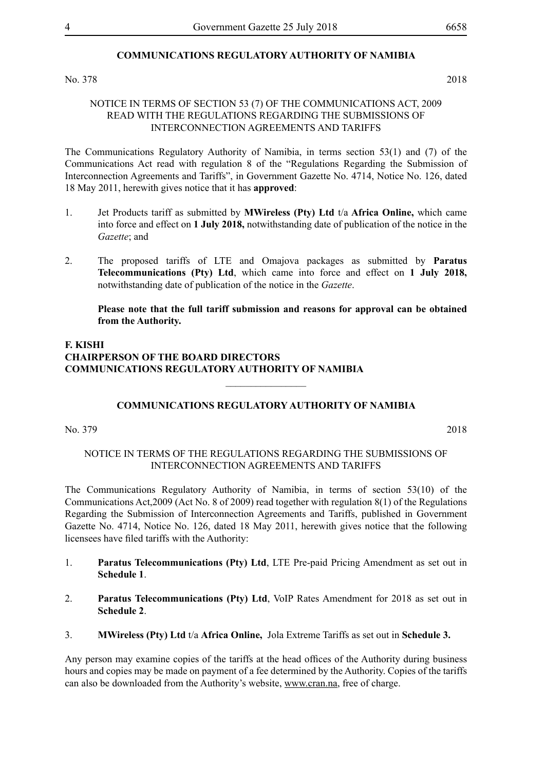#### **COMMUNICATIONS REGULATORY AUTHORITY OF NAMIBIA**

#### No. 378 2018

#### NOTICE IN TERMS OF SECTION 53 (7) OF THE COMMUNICATIONS ACT, 2009 READ WITH THE REGULATIONS REGARDING THE SUBMISSIONS OF INTERCONNECTION AGREEMENTS AND TARIFFS

The Communications Regulatory Authority of Namibia, in terms section 53(1) and (7) of the Communications Act read with regulation 8 of the "Regulations Regarding the Submission of Interconnection Agreements and Tariffs", in Government Gazette No. 4714, Notice No. 126, dated 18 May 2011, herewith gives notice that it has **approved**:

- 1. Jet Products tariff as submitted by **MWireless (Pty) Ltd** t/a **Africa Online,** which came into force and effect on **1 July 2018,** notwithstanding date of publication of the notice in the *Gazette*; and
- 2. The proposed tariffs of LTE and Omajova packages as submitted by **Paratus Telecommunications (Pty) Ltd**, which came into force and effect on **1 July 2018,** notwithstanding date of publication of the notice in the *Gazette*.

**Please note that the full tariff submission and reasons for approval can be obtained from the Authority.** 

#### **F. KISHI CHAIRPERSON OF THE BOARD DIRECTORS COMMUNICATIONS REGULATORY AUTHORITY OF NAMIBIA**

#### **COMMUNICATIONS REGULATORY AUTHORITY OF NAMIBIA**

 $\frac{1}{2}$ 

No. 379 2018

#### NOTICE IN TERMS OF THE REGULATIONS REGARDING THE SUBMISSIONS OF INTERCONNECTION AGREEMENTS AND TARIFFS

The Communications Regulatory Authority of Namibia, in terms of section 53(10) of the Communications Act,2009 (Act No. 8 of 2009) read together with regulation 8(1) of the Regulations Regarding the Submission of Interconnection Agreements and Tariffs, published in Government Gazette No. 4714, Notice No. 126, dated 18 May 2011, herewith gives notice that the following licensees have filed tariffs with the Authority:

- 1. **Paratus Telecommunications (Pty) Ltd**, LTE Pre-paid Pricing Amendment as set out in **Schedule 1**.
- 2. **Paratus Telecommunications (Pty) Ltd**, VoIP Rates Amendment for 2018 as set out in **Schedule 2**.
- 3. **MWireless (Pty) Ltd** t/a **Africa Online,** Jola Extreme Tariffs as set out in **Schedule 3.**

Any person may examine copies of the tariffs at the head offices of the Authority during business hours and copies may be made on payment of a fee determined by the Authority. Copies of the tariffs can also be downloaded from the Authority's website, www.cran.na, free of charge.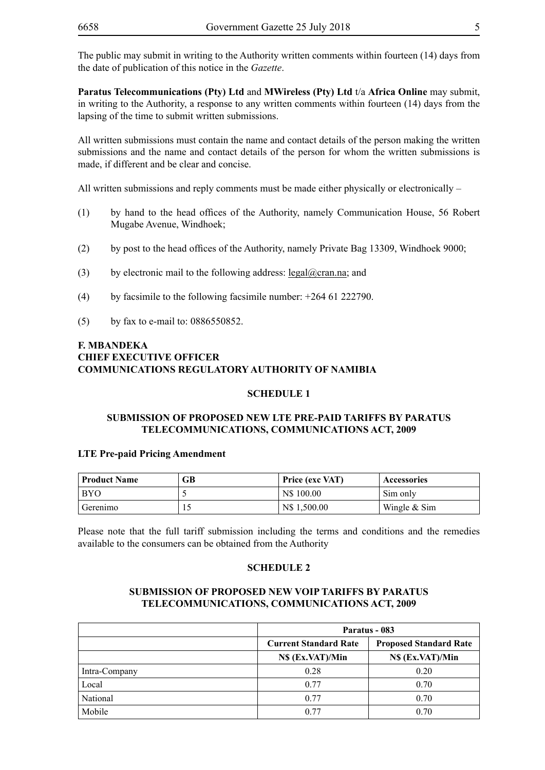The public may submit in writing to the Authority written comments within fourteen (14) days from the date of publication of this notice in the *Gazette*.

**Paratus Telecommunications (Pty) Ltd** and **MWireless (Pty) Ltd** t/a **Africa Online** may submit, in writing to the Authority, a response to any written comments within fourteen (14) days from the lapsing of the time to submit written submissions.

All written submissions must contain the name and contact details of the person making the written submissions and the name and contact details of the person for whom the written submissions is made, if different and be clear and concise.

All written submissions and reply comments must be made either physically or electronically  $-$ 

- (1) by hand to the head offices of the Authority, namely Communication House, 56 Robert Mugabe Avenue, Windhoek;
- (2) by post to the head offices of the Authority, namely Private Bag 13309, Windhoek 9000;
- (3) by electronic mail to the following address:  $\text{legal}(\partial \text{cran}.\text{na})$ ; and
- (4) by facsimile to the following facsimile number:  $+264$  61 222790.
- (5) by fax to e-mail to: 0886550852.

#### **F. MBANDEKA CHIEF EXECUTIVE OFFICER COMMUNICATIONS REGULATORY AUTHORITY OF NAMIBIA**

#### **SCHEDULE 1**

#### **SUBMISSION OF PROPOSED NEW LTE PRE-PAID TARIFFS BY PARATUS TELECOMMUNICATIONS, COMMUNICATIONS ACT, 2009**

#### **LTE Pre-paid Pricing Amendment**

| <b>Product Name</b> | GВ | <b>Price (exc VAT)</b> | Accessories    |
|---------------------|----|------------------------|----------------|
| <b>BYO</b>          |    | N\$ 100.00             | Sim only       |
| Gerenimo            | ΙJ | N\$ 1.500.00           | Wingle $&$ Sim |

Please note that the full tariff submission including the terms and conditions and the remedies available to the consumers can be obtained from the Authority

#### **SCHEDULE 2**

#### **SUBMISSION OF PROPOSED NEW VOIP TARIFFS BY PARATUS TELECOMMUNICATIONS, COMMUNICATIONS ACT, 2009**

|               |                              | Paratus - 083                 |
|---------------|------------------------------|-------------------------------|
|               | <b>Current Standard Rate</b> | <b>Proposed Standard Rate</b> |
|               | N\$ (Ex.VAT)/Min             | NS (Ex.VAT)/Min               |
| Intra-Company | 0.28                         | 0.20                          |
| Local         | 0.77                         | 0.70                          |
| National      | 0.77                         | 0.70                          |
| Mobile        | 0.77                         | 0.70                          |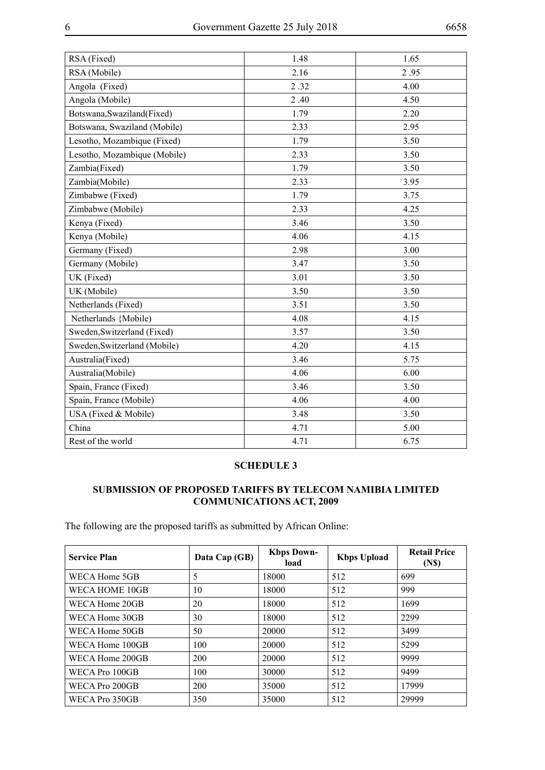<u> 1989 - Johann Barbara, martxa a</u>

| RSA (Fixed)                  | 1.48 | 1.65 |
|------------------------------|------|------|
| RSA (Mobile)                 | 2.16 | 2.95 |
| Angola (Fixed)               | 2.32 | 4.00 |
| Angola (Mobile)              | 2.40 | 4.50 |
| Botswana, Swaziland (Fixed)  | 1.79 | 2.20 |
| Botswana, Swaziland (Mobile) | 2.33 | 2.95 |
| Lesotho, Mozambique (Fixed)  | 1.79 | 3.50 |
| Lesotho, Mozambique (Mobile) | 2.33 | 3.50 |
| Zambia(Fixed)                | 1.79 | 3.50 |
| Zambia(Mobile)               | 2.33 | 3.95 |
| Zimbabwe (Fixed)             | 1.79 | 3.75 |
| Zimbabwe (Mobile)            | 2.33 | 4.25 |
| Kenya (Fixed)                | 3.46 | 3.50 |
| Kenya (Mobile)               | 4.06 | 4.15 |
| Germany (Fixed)              | 2.98 | 3.00 |
| Germany (Mobile)             | 3.47 | 3.50 |
| UK (Fixed)                   | 3.01 | 3.50 |
| UK (Mobile)                  | 3.50 | 3.50 |
| Netherlands (Fixed)          | 3.51 | 3.50 |
| Netherlands {Mobile)         | 4.08 | 4.15 |
| Sweden, Switzerland (Fixed)  | 3.57 | 3.50 |
| Sweden, Switzerland (Mobile) | 4.20 | 4.15 |
| Australia(Fixed)             | 3.46 | 5.75 |
| Australia(Mobile)            | 4.06 | 6.00 |
| Spain, France (Fixed)        | 3.46 | 3.50 |
| Spain, France (Mobile)       | 4.06 | 4.00 |
| USA (Fixed & Mobile)         | 3.48 | 3.50 |
| China                        | 4.71 | 5.00 |
| Rest of the world            | 4.71 | 6.75 |

#### **SCHEDULE 3**

### **SUBMISSION OF PROPOSED TARIFFS BY TELECOM NAMIBIA LIMITED COMMUNICATIONS ACT, 2009**

The following are the proposed tariffs as submitted by African Online:

| <b>Service Plan</b> | Data Cap (GB) | <b>Kbps Down-</b><br>load | <b>Kbps Upload</b> | <b>Retail Price</b><br>(N <sub>s</sub> ) |
|---------------------|---------------|---------------------------|--------------------|------------------------------------------|
| WECA Home 5GB       | 5             | 18000                     | 512                | 699                                      |
| WECA HOME 10GB      | 10            | 18000                     | 512                | 999                                      |
| WECA Home 20GB      | 20            | 18000                     | 512                | 1699                                     |
| WECA Home 30GB      | 30            | 18000                     | 512                | 2299                                     |
| WECA Home 50GB      | 50            | 20000                     | 512                | 3499                                     |
| WECA Home 100GB     | 100           | 20000                     | 512                | 5299                                     |
| WECA Home 200GB     | 200           | 20000                     | 512                | 9999                                     |
| WECA Pro 100GB      | 100           | 30000                     | 512                | 9499                                     |
| WECA Pro 200GB      | 200           | 35000                     | 512                | 17999                                    |
| WECA Pro 350GB      | 350           | 35000                     | 512                | 29999                                    |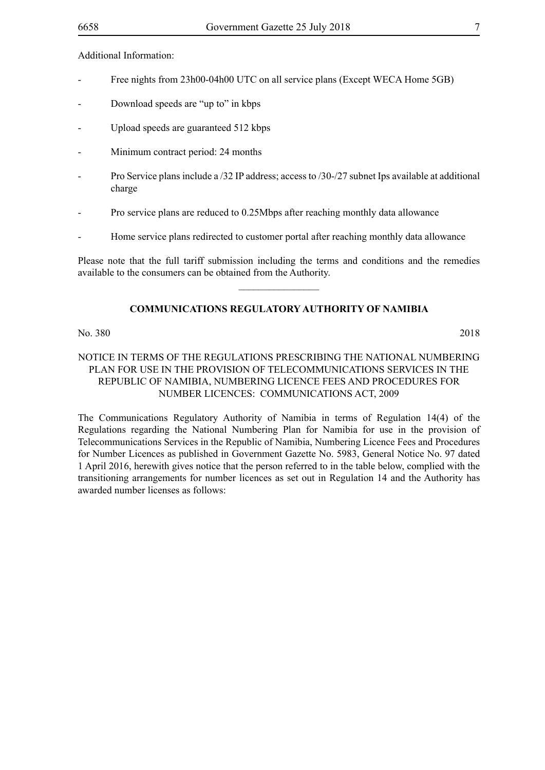Additional Information:

- Free nights from 23h00-04h00 UTC on all service plans (Except WECA Home 5GB)
- Download speeds are "up to" in kbps
- Upload speeds are guaranteed 512 kbps
- Minimum contract period: 24 months
- Pro Service plans include a /32 IP address; access to /30-/27 subnet Ips available at additional charge
- Pro service plans are reduced to 0.25Mbps after reaching monthly data allowance
- Home service plans redirected to customer portal after reaching monthly data allowance

Please note that the full tariff submission including the terms and conditions and the remedies available to the consumers can be obtained from the Authority.  $\frac{1}{2}$ 

#### **COMMUNICATIONS REGULATORY AUTHORITY OF NAMIBIA**

#### No. 380 2018

#### NOTICE IN TERMS OF THE REGULATIONS PRESCRIBING THE NATIONAL NUMBERING PLAN FOR USE IN THE PROVISION OF TELECOMMUNICATIONS SERVICES IN THE REPUBLIC OF NAMIBIA, NUMBERING LICENCE FEES AND PROCEDURES FOR NUMBER LICENCES: COMMUNICATIONS ACT, 2009

The Communications Regulatory Authority of Namibia in terms of Regulation 14(4) of the Regulations regarding the National Numbering Plan for Namibia for use in the provision of Telecommunications Services in the Republic of Namibia, Numbering Licence Fees and Procedures for Number Licences as published in Government Gazette No. 5983, General Notice No. 97 dated 1 April 2016, herewith gives notice that the person referred to in the table below, complied with the transitioning arrangements for number licences as set out in Regulation 14 and the Authority has awarded number licenses as follows: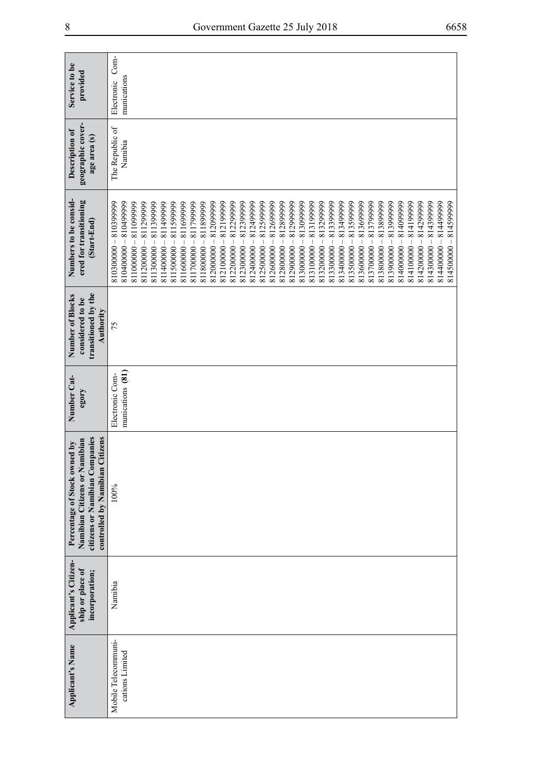| Service to be<br>provided                                                                                                          | $Com-$<br>munications<br>Electronic                                                                                                                                                                                                                                                                                                                                                                                                                                                                                                                                                                                                                                                                                                                                                                                                                                                                                                                                                  |
|------------------------------------------------------------------------------------------------------------------------------------|--------------------------------------------------------------------------------------------------------------------------------------------------------------------------------------------------------------------------------------------------------------------------------------------------------------------------------------------------------------------------------------------------------------------------------------------------------------------------------------------------------------------------------------------------------------------------------------------------------------------------------------------------------------------------------------------------------------------------------------------------------------------------------------------------------------------------------------------------------------------------------------------------------------------------------------------------------------------------------------|
| geographic cover-<br>Description of<br>age area (s)                                                                                | The Republic of<br>Namibia                                                                                                                                                                                                                                                                                                                                                                                                                                                                                                                                                                                                                                                                                                                                                                                                                                                                                                                                                           |
| Numbers to be consid-<br>ered for transitioning<br>(Start-End)                                                                     | 81040000 - 810499999<br>812399999<br>812499999<br>813299999<br>813300000 - 813399999<br>814099999<br>814199999<br>814299999<br>814499999<br>810300000-810399999<br>812099999<br>812199999<br>812299999<br>812599999<br>812699999<br>812800000 - 812899999<br>812900000 - 812999999<br>813099999<br>813199999<br>813499999<br>813599999<br>813699999<br>813700000 - 813799999<br>813899999<br>813999999<br>814399999<br>814500000 - 814599999<br>811000000 - 811099999<br>811299999<br>811399999<br>811499999<br>811599999<br>811699999<br>811799999<br>811899999<br>$812000000 -$<br>$812400000 -$<br>813600000-<br>813800000-<br>$814200000 -$<br>$-00000143$<br>$812200000 -$<br>$812600000 -$<br>813000000-<br>814400000-<br>811500000-<br>812100000-<br>$812300000 -$<br>$812500000 -$<br>813200000-<br>813400000-<br>813900000-<br>$-00000018$<br>814100000-<br>$811200000 -$<br>811300000-<br>811400000-<br>811600000-<br>811700000-<br>811800000-<br>813100000-<br>813500000- |
| transitioned by the<br>Number of Blocks<br>considered to be<br>Authority                                                           | 75                                                                                                                                                                                                                                                                                                                                                                                                                                                                                                                                                                                                                                                                                                                                                                                                                                                                                                                                                                                   |
| Number Cat-<br>egory                                                                                                               | munications (81)<br>Electronic Com-                                                                                                                                                                                                                                                                                                                                                                                                                                                                                                                                                                                                                                                                                                                                                                                                                                                                                                                                                  |
| citizens or Namibian Companies<br>controlled by Namibian Citizens<br>Namibian Citizens or Namibian<br>Percentage of Stock owned by | 100%                                                                                                                                                                                                                                                                                                                                                                                                                                                                                                                                                                                                                                                                                                                                                                                                                                                                                                                                                                                 |
| Applicant's Citizen-<br>ship or place of<br>incorporation;                                                                         | Namibia                                                                                                                                                                                                                                                                                                                                                                                                                                                                                                                                                                                                                                                                                                                                                                                                                                                                                                                                                                              |
| <b>Applicant's Name</b>                                                                                                            | Mobile Telecommuni-<br>cations Limited                                                                                                                                                                                                                                                                                                                                                                                                                                                                                                                                                                                                                                                                                                                                                                                                                                                                                                                                               |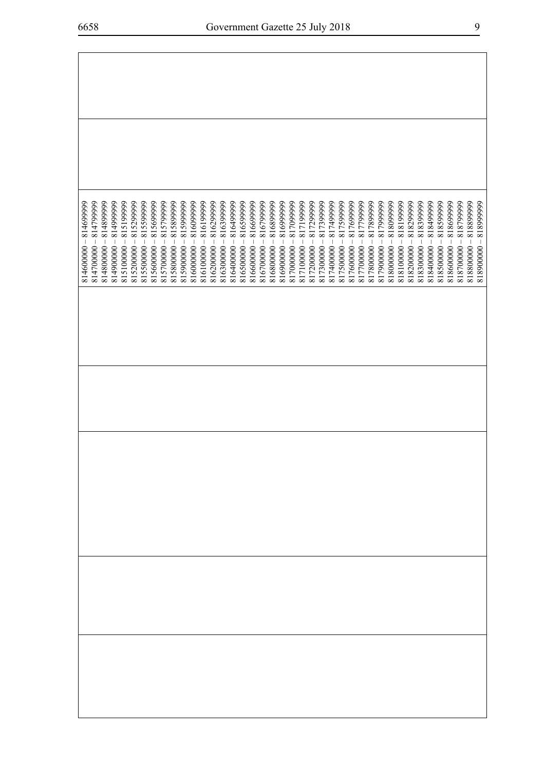| $8146000000 - 814699999$ | 814799999<br>814700000- | 814899999<br>814800000- | 814999999<br>$\overline{\phantom{a}}$<br>814900000 | 815199999<br>$\begin{array}{c} \rule{0pt}{2.5ex} \rule{0pt}{2.5ex} \rule{0pt}{2.5ex} \rule{0pt}{2.5ex} \rule{0pt}{2.5ex} \rule{0pt}{2.5ex} \rule{0pt}{2.5ex} \rule{0pt}{2.5ex} \rule{0pt}{2.5ex} \rule{0pt}{2.5ex} \rule{0pt}{2.5ex} \rule{0pt}{2.5ex} \rule{0pt}{2.5ex} \rule{0pt}{2.5ex} \rule{0pt}{2.5ex} \rule{0pt}{2.5ex} \rule{0pt}{2.5ex} \rule{0pt}{2.5ex} \rule{0pt}{2.5ex} \rule{0$<br>815100000 | 815299999<br>$815200000 -$ | 815599999<br>815500000- | 815699999<br>815600000- | 815799999<br>815700000- | 815899999<br>815800000- | 815999999<br>$\overline{\phantom{a}}$<br>815900000 | 81609999<br>$816000000 -$ | 81619999<br>816100000- | 816299999<br>816200000- | 816399999<br>816300000- | 816499999<br>816400000- | 81659999<br>816500000- | 816699999<br>816600000- | 816799999<br>816700000- | 816899999<br>816800000- | 81699999<br>816900000- | 817099999<br>817000000- | 817199999<br>817100000- | 817299999<br>$\overline{\phantom{a}}$<br>817200000 | 817399999<br>817300000- | 817499999<br>817400000- | 817599999<br>$\begin{array}{c} \hline \end{array}$<br>817500000 | 817699999<br>817600000- | 817799999<br>817700000- | 817899999<br>817800000- | 817999999<br>817900000- | 818099999<br>818000000- | 818199999<br>818100000- | 818299999<br>818200000- | 818399999<br>818300000- | 818499999<br>818400000- | 818599999<br>818500000 | 818699999<br>818600000- | 818799999<br>818700000 | 818899999<br>$-00000818$ | $818900000 - 81899999$ |
|--------------------------|-------------------------|-------------------------|----------------------------------------------------|------------------------------------------------------------------------------------------------------------------------------------------------------------------------------------------------------------------------------------------------------------------------------------------------------------------------------------------------------------------------------------------------------------|----------------------------|-------------------------|-------------------------|-------------------------|-------------------------|----------------------------------------------------|---------------------------|------------------------|-------------------------|-------------------------|-------------------------|------------------------|-------------------------|-------------------------|-------------------------|------------------------|-------------------------|-------------------------|----------------------------------------------------|-------------------------|-------------------------|-----------------------------------------------------------------|-------------------------|-------------------------|-------------------------|-------------------------|-------------------------|-------------------------|-------------------------|-------------------------|-------------------------|------------------------|-------------------------|------------------------|--------------------------|------------------------|
|                          |                         |                         |                                                    |                                                                                                                                                                                                                                                                                                                                                                                                            |                            |                         |                         |                         |                         |                                                    |                           |                        |                         |                         |                         |                        |                         |                         |                         |                        |                         |                         |                                                    |                         |                         |                                                                 |                         |                         |                         |                         |                         |                         |                         |                         |                         |                        |                         |                        |                          |                        |
|                          |                         |                         |                                                    |                                                                                                                                                                                                                                                                                                                                                                                                            |                            |                         |                         |                         |                         |                                                    |                           |                        |                         |                         |                         |                        |                         |                         |                         |                        |                         |                         |                                                    |                         |                         |                                                                 |                         |                         |                         |                         |                         |                         |                         |                         |                         |                        |                         |                        |                          |                        |
|                          |                         |                         |                                                    |                                                                                                                                                                                                                                                                                                                                                                                                            |                            |                         |                         |                         |                         |                                                    |                           |                        |                         |                         |                         |                        |                         |                         |                         |                        |                         |                         |                                                    |                         |                         |                                                                 |                         |                         |                         |                         |                         |                         |                         |                         |                         |                        |                         |                        |                          |                        |
|                          |                         |                         |                                                    |                                                                                                                                                                                                                                                                                                                                                                                                            |                            |                         |                         |                         |                         |                                                    |                           |                        |                         |                         |                         |                        |                         |                         |                         |                        |                         |                         |                                                    |                         |                         |                                                                 |                         |                         |                         |                         |                         |                         |                         |                         |                         |                        |                         |                        |                          |                        |
|                          |                         |                         |                                                    |                                                                                                                                                                                                                                                                                                                                                                                                            |                            |                         |                         |                         |                         |                                                    |                           |                        |                         |                         |                         |                        |                         |                         |                         |                        |                         |                         |                                                    |                         |                         |                                                                 |                         |                         |                         |                         |                         |                         |                         |                         |                         |                        |                         |                        |                          |                        |
|                          |                         |                         |                                                    |                                                                                                                                                                                                                                                                                                                                                                                                            |                            |                         |                         |                         |                         |                                                    |                           |                        |                         |                         |                         |                        |                         |                         |                         |                        |                         |                         |                                                    |                         |                         |                                                                 |                         |                         |                         |                         |                         |                         |                         |                         |                         |                        |                         |                        |                          |                        |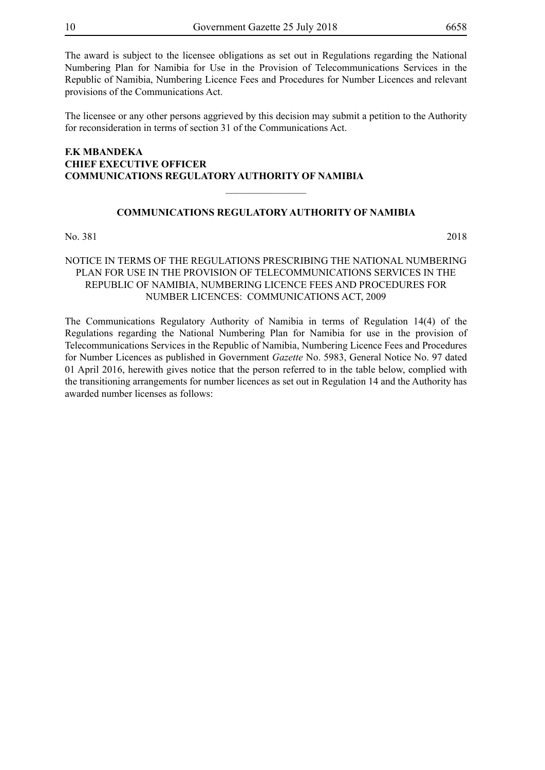The award is subject to the licensee obligations as set out in Regulations regarding the National Numbering Plan for Namibia for Use in the Provision of Telecommunications Services in the Republic of Namibia, Numbering Licence Fees and Procedures for Number Licences and relevant provisions of the Communications Act.

The licensee or any other persons aggrieved by this decision may submit a petition to the Authority for reconsideration in terms of section 31 of the Communications Act.

#### **F.K MBANDEKA CHIEF EXECUTIVE OFFICER COMMUNICATIONS REGULATORY AUTHORITY OF NAMIBIA**

#### **COMMUNICATIONS REGULATORY AUTHORITY OF NAMIBIA**

 $\overline{\phantom{a}}$  , where  $\overline{\phantom{a}}$ 

No. 381 2018

#### NOTICE IN TERMS OF THE REGULATIONS PRESCRIBING THE NATIONAL NUMBERING PLAN FOR USE IN THE PROVISION OF TELECOMMUNICATIONS SERVICES IN THE REPUBLIC OF NAMIBIA, NUMBERING LICENCE FEES AND PROCEDURES FOR NUMBER LICENCES: COMMUNICATIONS ACT, 2009

The Communications Regulatory Authority of Namibia in terms of Regulation 14(4) of the Regulations regarding the National Numbering Plan for Namibia for use in the provision of Telecommunications Services in the Republic of Namibia, Numbering Licence Fees and Procedures for Number Licences as published in Government *Gazette* No. 5983, General Notice No. 97 dated 01 April 2016, herewith gives notice that the person referred to in the table below, complied with the transitioning arrangements for number licences as set out in Regulation 14 and the Authority has awarded number licenses as follows: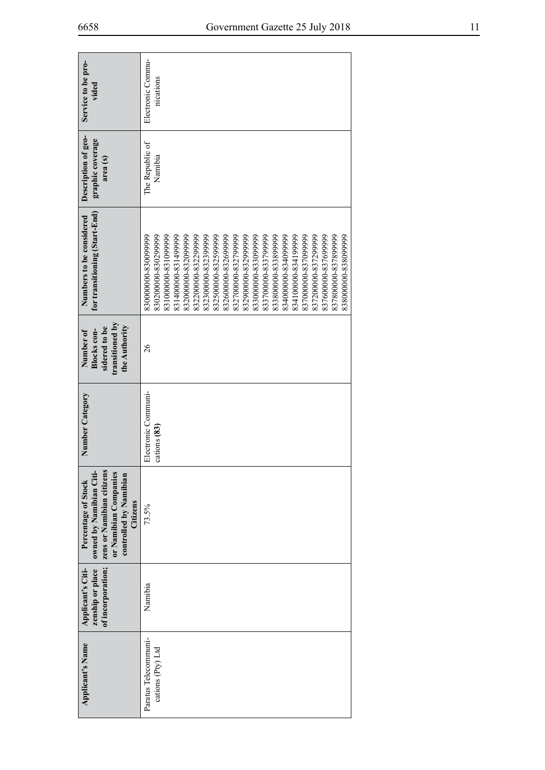| Service to be pro-<br>vided                                                                                                                | Electronic Commu-<br>nications                                                                                                                                                                                                                                                                                                                                                                                                                                                              |
|--------------------------------------------------------------------------------------------------------------------------------------------|---------------------------------------------------------------------------------------------------------------------------------------------------------------------------------------------------------------------------------------------------------------------------------------------------------------------------------------------------------------------------------------------------------------------------------------------------------------------------------------------|
| Description of geo-<br>graphic coverage<br>area (s)                                                                                        | The Republic of<br>Namibia                                                                                                                                                                                                                                                                                                                                                                                                                                                                  |
| for transitioning (Start-End)<br>Numbers to be considered                                                                                  | 837800000-837899999<br>838000000-838099999<br>830200000-830299999<br>83100000-831099999<br>832000000-832099999<br>832200000-832299999<br>832500000-832599999<br>832900000-832999999<br>833800000-833899999<br>834000000-834099999<br>834100000-834199999<br>837000000-837099999<br>837600000-837699999<br>83140000041899999<br>83230000-832399999<br>832600000-832699999<br>832700000-8327999999<br>833000000058309999<br>833700000-833799999<br>837200000-837299999<br>830000000-830099999 |
| transitioned by<br>the Authority<br>sidered to be<br>Number of<br>Blocks con-                                                              | 26                                                                                                                                                                                                                                                                                                                                                                                                                                                                                          |
| Number Category                                                                                                                            | Electronic Communi-<br>cations (83)                                                                                                                                                                                                                                                                                                                                                                                                                                                         |
| owned by Namibian Citi-<br>zens or Namibian citizens<br>or Namibian Companies<br>controlled by Namibian<br>Percentage of Stock<br>Citizens | 73.5%                                                                                                                                                                                                                                                                                                                                                                                                                                                                                       |
| of incorporation;<br>zenship or place<br>Applicant's Citi-                                                                                 | Namibia                                                                                                                                                                                                                                                                                                                                                                                                                                                                                     |
| <b>Applicant's Name</b>                                                                                                                    | Paratus Telecommuni-<br>cations (Pty) Ltd                                                                                                                                                                                                                                                                                                                                                                                                                                                   |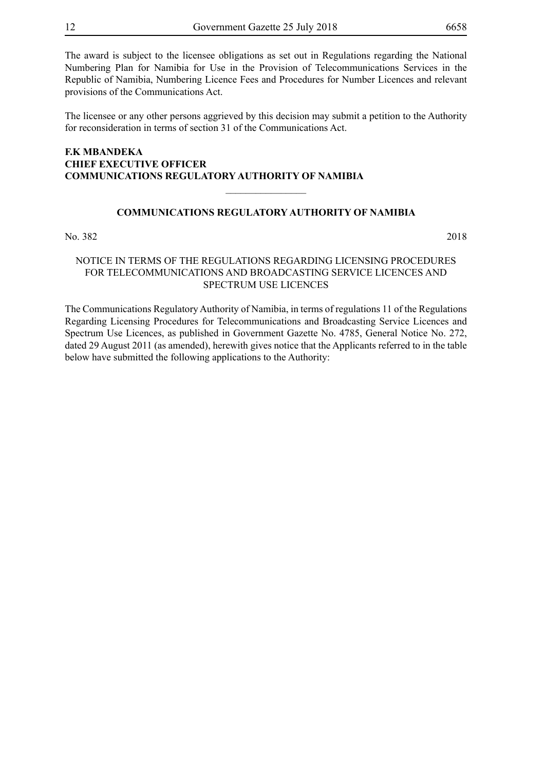The award is subject to the licensee obligations as set out in Regulations regarding the National Numbering Plan for Namibia for Use in the Provision of Telecommunications Services in the Republic of Namibia, Numbering Licence Fees and Procedures for Number Licences and relevant provisions of the Communications Act.

The licensee or any other persons aggrieved by this decision may submit a petition to the Authority for reconsideration in terms of section 31 of the Communications Act.

#### **F.K MBANDEKA CHIEF EXECUTIVE OFFICER COMMUNICATIONS REGULATORY AUTHORITY OF NAMIBIA**

#### **COMMUNICATIONS REGULATORY AUTHORITY OF NAMIBIA**

 $\overline{\phantom{a}}$  , where  $\overline{\phantom{a}}$ 

No. 382 2018

#### NOTICE IN TERMS OF THE REGULATIONS REGARDING LICENSING PROCEDURES FOR TELECOMMUNICATIONS AND BROADCASTING SERVICE LICENCES AND SPECTRUM USE LICENCES

The Communications Regulatory Authority of Namibia, in terms of regulations 11 of the Regulations Regarding Licensing Procedures for Telecommunications and Broadcasting Service Licences and Spectrum Use Licences, as published in Government Gazette No. 4785, General Notice No. 272, dated 29 August 2011 (as amended), herewith gives notice that the Applicants referred to in the table below have submitted the following applications to the Authority: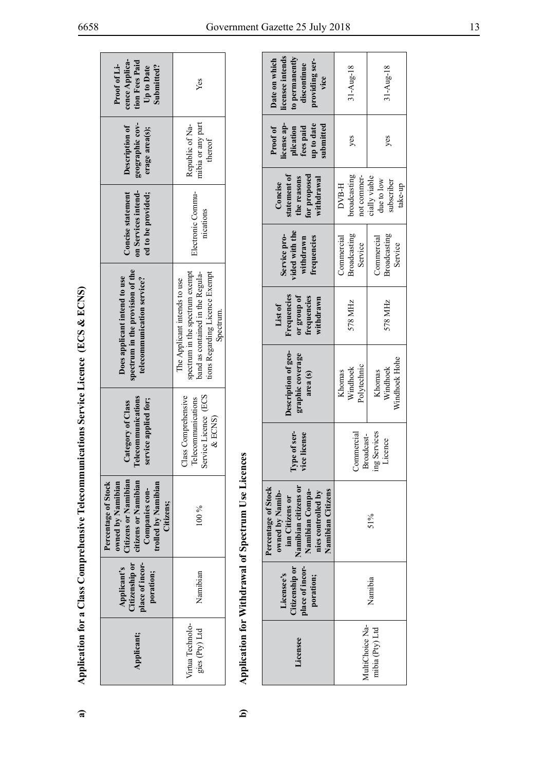| <b>Concentration</b><br>ļ<br>ļ<br>I<br>֧֧֧֧֪֧֪֪֧֧֧֧֚֚֚֚֚֚֚֚֚֚֚֚֚֚֚֚֚֚֚֚֚֚֚֚֚֚֚֚֚֚֡֝֝֝֜֝֝֝֝֬֝֬֝֬֝֬<br>i<br>nmmrel<br>$\overline{a}$<br>l<br>I<br>֞ <u>֓</u><br><br>.<br>.<br>í<br>Ę<br>l | こうてい ここう<br>)<br>)<br>)<br>) |
|-----------------------------------------------------------------------------------------------------------------------------------------------------------------------------------------|------------------------------|
|                                                                                                                                                                                         |                              |
|                                                                                                                                                                                         |                              |
|                                                                                                                                                                                         |                              |
|                                                                                                                                                                                         |                              |
|                                                                                                                                                                                         |                              |
|                                                                                                                                                                                         |                              |
|                                                                                                                                                                                         |                              |
|                                                                                                                                                                                         |                              |
|                                                                                                                                                                                         |                              |
|                                                                                                                                                                                         |                              |

| cence Applica-<br>tion Fees Paid<br>Proof of Li-<br>Submitted?<br>Up to Date                                                                       | Yes                                                                                                                                                |
|----------------------------------------------------------------------------------------------------------------------------------------------------|----------------------------------------------------------------------------------------------------------------------------------------------------|
| geographic cov-<br>Description of<br>erage area(s);                                                                                                | nibia or any part<br>Republic of Na-<br>thereof                                                                                                    |
| Concise statement<br>on Services intend-<br>ed to be provided;                                                                                     | Electronic Commu-<br>nications                                                                                                                     |
| spectrum in the provision of the<br>Does applicant intend to use<br>telecommunication service?                                                     | spectrum in the spectrum exempt<br>band as contained in the Regula-<br>tions Regarding Licence Exempt<br>The Applicant intends to use<br>Spectrum. |
| Telecommunications<br>service applied for;<br>Category of Class                                                                                    | Service Licence (ECS<br>Class Comprehensive<br>Telecommunications<br>$&$ ECNS)                                                                     |
| <b>Itizens or Namibian</b><br>itizens or Namibian<br>Percentage of Stock<br>owned by Namibian<br>rolled by Namibian<br>Companies con-<br>Citizens; | $\frac{6}{90}$                                                                                                                                     |
| tizenship or<br>dace of incor-<br>Applicant's<br>poration;                                                                                         | Namibian                                                                                                                                           |
| Applicant;                                                                                                                                         | Virtua Technolo-<br>gies (Pty) Ltd                                                                                                                 |

| cence Applica-<br>tion Fees Paid<br>Proof of Li-<br>Submitted?<br>Up to Date                                                                          | Yes                                                                                                                                                |                                                   | licensee intends<br>to permanently<br>Date on which<br>providing ser-<br>discontinue<br>vice                                                    | $31 - Aug - 18$                                                          | $31 - \text{Aug-18}$                                 |
|-------------------------------------------------------------------------------------------------------------------------------------------------------|----------------------------------------------------------------------------------------------------------------------------------------------------|---------------------------------------------------|-------------------------------------------------------------------------------------------------------------------------------------------------|--------------------------------------------------------------------------|------------------------------------------------------|
| geographic cov-<br>Description of<br>erage area(s);                                                                                                   | mibia or any part<br>Republic of Na-<br>thereof                                                                                                    |                                                   | license ap-<br>up to date<br>submitted<br>fees paid<br>Proof of<br>plication                                                                    | yes                                                                      | yes                                                  |
| on Services intend-<br><b>Concise statement</b><br>ed to be provided;                                                                                 | Electronic Commu-<br>nications                                                                                                                     | 89.                                               | statement of<br>for proposed<br>the reasons<br>withdrawal<br>Concise                                                                            | broadcasting<br>not commer-<br>DVB-H                                     | cially viable<br>due to low<br>subscriber<br>take-up |
|                                                                                                                                                       |                                                                                                                                                    |                                                   | vided with the<br>Service pro-<br>withdrawn<br>frequencies                                                                                      | Broadcasting<br>Commercial<br>Service                                    | Broadcasting<br>Commercial<br>Service                |
| spectrum in the provision of the<br>Does applicant intend to use<br>telecommunication service?                                                        | spectrum in the spectrum exempt<br>band as contained in the Regula-<br>tions Regarding Licence Exempt<br>The Applicant intends to use<br>Spectrum. |                                                   | Frequencies<br>frequencies<br>or group of<br>withdrawn<br>List of                                                                               | 578 MHz                                                                  | 578 MHz                                              |
|                                                                                                                                                       |                                                                                                                                                    |                                                   | Description of geo-<br>graphic coverage<br>area (s)                                                                                             | Polytechnic<br>Windhoek<br>Khomas                                        | Windhoek Hohe<br>Windhoek<br>Khomas                  |
| Telecommunications<br>service applied for;<br>Category of Class                                                                                       | Service Licence (ECS<br>Class Comprehensive<br>Telecommunications<br>&ECMS                                                                         |                                                   | Type of ser-<br>vice license                                                                                                                    | Services<br>Commercial<br>Broadcast-<br>licence<br>$\lim_{t \to \infty}$ |                                                      |
| <b>Citizens or Namibian</b><br>citizens or Namibian<br>owned by Namibian<br>Percentage of Stock<br>trolled by Namibian<br>Companies con-<br>Citizens; | 100 %                                                                                                                                              | Application for Withdrawal of Spectrum Use Licenc | Namibian citizens or<br>Percentage of Stock<br>Namibian Citizens<br>Namibian Compa-<br>nies controlled by<br>owned by Namib-<br>ian Citizens or | 51%                                                                      |                                                      |
| place of incor-<br>Citizenship or<br>Applicant's<br>poration;                                                                                         | Namibian                                                                                                                                           |                                                   | place of incor-<br>Citizenship or<br>Licensee's<br>poration;                                                                                    | Namibia                                                                  |                                                      |
| Applicant;                                                                                                                                            | Virtua Technolo-<br>gies (Pty) Ltd                                                                                                                 |                                                   | Licensee                                                                                                                                        | MultiChoice Na-<br>mibia (Pty) Ltd                                       |                                                      |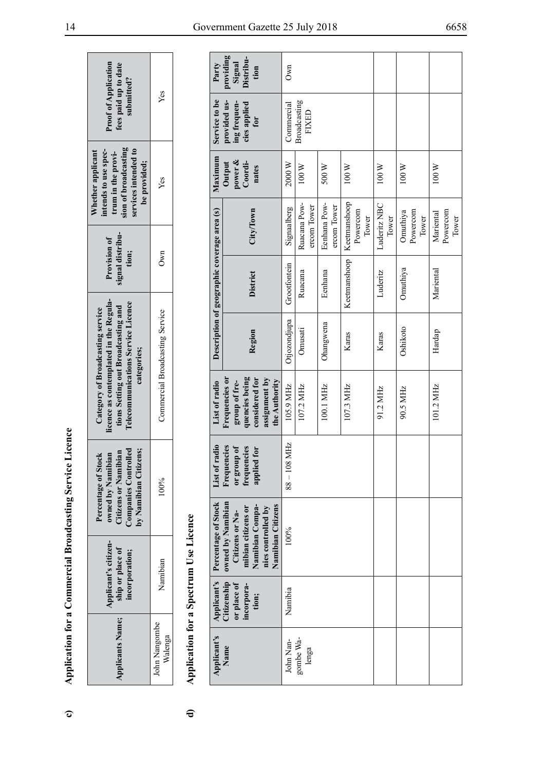| <b>Proof of Applicat</b><br>fees paid up to d:<br>submitted?                                                                                                         | Yes                             |
|----------------------------------------------------------------------------------------------------------------------------------------------------------------------|---------------------------------|
| sion of broadcasting<br>services intended to<br>intends to use spec-<br>Whether applicant<br>trum in the provi-<br>be provided;                                      | Yes                             |
| signal distribu-<br><b>Provision of</b><br>tion;                                                                                                                     | Own                             |
| icence as contemplated in the Regula-<br>Telecommunications Service Licence<br>tions Setting out Broadcasting and<br>Category of Broadcasting service<br>categories; | Commercial Broadcasting Service |
| $_{\rm Controlved}$<br>n Citizens;<br>Citizens or Namibian<br>Percentage of Stock<br>owned by Namibian<br><b>Ty Namibian</b><br>Companies (                          | $00\%$                          |
| Applicant's citizen-<br>ship or place of<br>acorporation;                                                                                                            | Namibian                        |
| Applicants Name;                                                                                                                                                     | John Nangombe<br>Kalenga        |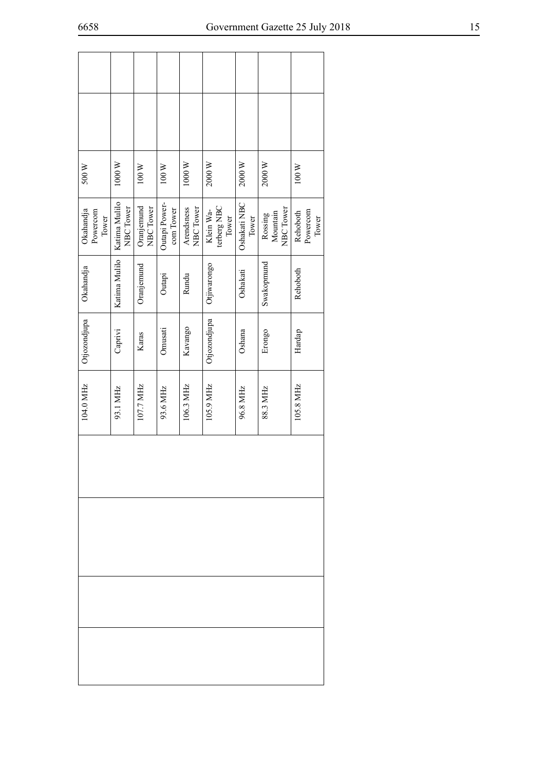| 500W                           | $1000\,\mathrm{W}$         | $100\ \rm{W}$           | $100\ \text{W}$            | 1000W                   | 2000 W                            | 2000 W                | $2000\,\mathrm{W}$               | 100 W                         |
|--------------------------------|----------------------------|-------------------------|----------------------------|-------------------------|-----------------------------------|-----------------------|----------------------------------|-------------------------------|
| Okahandja<br>Powercom<br>Tower | Katima Mulilo<br>NBC Tower | Oranjemund<br>NBC Tower | Outapi Power-<br>com Tower | Arendsness<br>NBC Tower | terberg NBC<br>Klein Wa-<br>Tower | Oshakati NBC<br>Tower | NBC Tower<br>Mountain<br>Rossing | Powercom<br>Rehoboth<br>Tower |
| Okahandja                      | Katima Mulilo              | Oranjemund              | Outapi                     | Rundu                   | Otjiwarongo                       | Oshakati              | Swakopmund                       | Rehoboth                      |
| Otjozondjupa                   | Caprivi                    | Karas                   | Omusati                    | Kavango                 | Otjozondjupa                      | Oshana                | Erongo                           | Hardap                        |
| 104.0 MHz                      | 93.1 MHz                   | 107.7 MHz               | 93.6 MHz                   | 106.3 MHz               | 105.9 MHz                         | 96.8 MHz              | 88.3 MHz                         | 105.8 MHz                     |
|                                |                            |                         |                            |                         |                                   |                       |                                  |                               |
|                                |                            |                         |                            |                         |                                   |                       |                                  |                               |
|                                |                            |                         |                            |                         |                                   |                       |                                  |                               |
|                                |                            |                         |                            |                         |                                   |                       |                                  |                               |

 $\sqrt{ }$